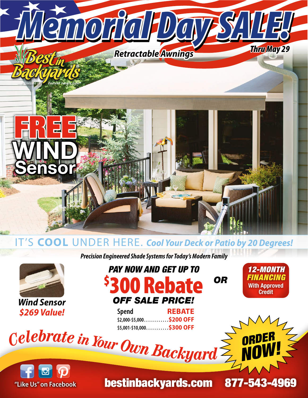

#### IT'S **COOL** UNDER HERE. *Cool Your Deck or Patio by 20 Degrees!*

*Precision Engineered Shade Systems for Today's Modern Family*



*Wind Sensor \$269 Value!*

## *PAY NOW AND GET UP TO* \$ 300 Rebate *OFF SALE PRICE!*

**Spend REBATE \$2,000-\$5,000 . . . . . . . . . . . \$200 OFF \$5,001-\$10,000 . . . . . . . . . . \$300 OFF** *<sup>C</sup>elebrat<sup>e</sup> <sup>i</sup><sup>n</sup> <sup>Y</sup>ou<sup>r</sup>* 

*OR*

*12-MONTH FINANCING* With Approved **Credit** 



bestinbackyards.com 877-543-4969

*ORDER* 

*NOW!*